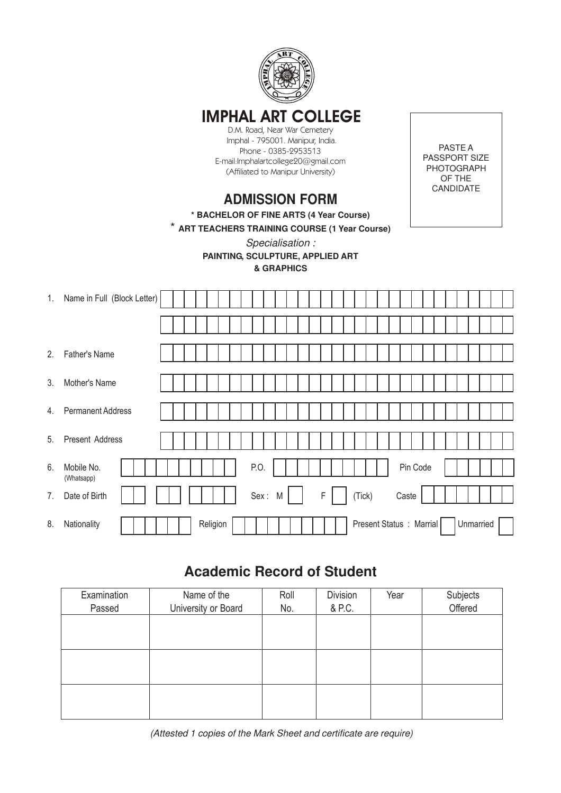

## **IMPHAL ART COLLEGE**

D.M. Road, Near War Cemetery Imphal - 795001. Manipur, India. Phone - 0385-2953513 E-mail:Imphalartcollege20@gmail.com (Affiliated to Manipur University)

PASTE A PASSPORT SIZE PHOTOGRAPH OF THE CANDIDATE

## **ADMISSION FORM**

**\* BACHELOR OF FINE ARTS (4 Year Course)**

\* **ART TEACHERS TRAINING COURSE (1 Year Course)**

*Specialisation :*

**PAINTING, SCULPTURE, APPLIED ART & GRAPHICS**

| 1. | Name in Full (Block Letter) |  |          |      |   |  |             |  |                          |  |          |  |  |           |  |
|----|-----------------------------|--|----------|------|---|--|-------------|--|--------------------------|--|----------|--|--|-----------|--|
|    |                             |  |          |      |   |  |             |  |                          |  |          |  |  |           |  |
| 2. | Father's Name               |  |          |      |   |  |             |  |                          |  |          |  |  |           |  |
| 3. | Mother's Name               |  |          |      |   |  |             |  |                          |  |          |  |  |           |  |
| 4. | <b>Permanent Address</b>    |  |          |      |   |  |             |  |                          |  |          |  |  |           |  |
|    |                             |  |          |      |   |  |             |  |                          |  |          |  |  |           |  |
| 5. | Present Address             |  |          |      |   |  |             |  |                          |  |          |  |  |           |  |
| 6. | Mobile No.<br>(Whatsapp)    |  |          | P.O. |   |  |             |  |                          |  | Pin Code |  |  |           |  |
| 7. | Date of Birth               |  |          | Sex: | M |  | $\mathsf F$ |  | (Tick)                   |  | Caste    |  |  |           |  |
| 8. | Nationality                 |  | Religion |      |   |  |             |  | Present Status : Marrial |  |          |  |  | Unmarried |  |

## **Academic Record of Student**

| Examination<br>Passed | Name of the<br>University or Board | Roll<br>No. | <b>Division</b><br>& P.C. | Year | Subjects<br>Offered |  |  |
|-----------------------|------------------------------------|-------------|---------------------------|------|---------------------|--|--|
|                       |                                    |             |                           |      |                     |  |  |
|                       |                                    |             |                           |      |                     |  |  |
|                       |                                    |             |                           |      |                     |  |  |
|                       |                                    |             |                           |      |                     |  |  |
|                       |                                    |             |                           |      |                     |  |  |
|                       |                                    |             |                           |      |                     |  |  |

*(Attested 1 copies of the Mark Sheet and certificate are require)*